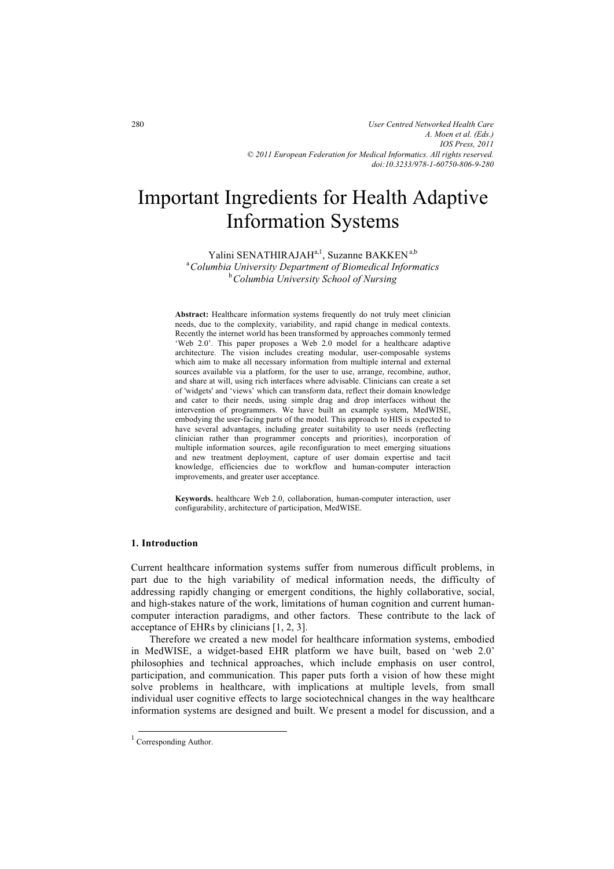# Important Ingredients for Health Adaptive Information Systems

Yalini SENATHIRAJAH<sup>a, 1</sup>, Suzanne BAKKEN<sup>a,b</sup> a *Columbia University Department of Biomedical Informatics*  b *Columbia University School of Nursing* 

Abstract: Healthcare information systems frequently do not truly meet clinician needs, due to the complexity, variability, and rapid change in medical contexts. Recently the internet world has been transformed by approaches commonly termed 'Web 2.0'. This paper proposes a Web 2.0 model for a healthcare adaptive architecture. The vision includes creating modular, user-composable systems which aim to make all necessary information from multiple internal and external sources available via a platform, for the user to use, arrange, recombine, author, and share at will, using rich interfaces where advisable. Clinicians can create a set of 'widgets' and 'views' which can transform data, reflect their domain knowledge and cater to their needs, using simple drag and drop interfaces without the intervention of programmers. We have built an example system, MedWISE, embodying the user-facing parts of the model. This approach to HIS is expected to have several advantages, including greater suitability to user needs (reflecting clinician rather than programmer concepts and priorities), incorporation of multiple information sources, agile reconfiguration to meet emerging situations and new treatment deployment, capture of user domain expertise and tacit knowledge, efficiencies due to workflow and human-computer interaction improvements, and greater user acceptance.

**Keywords.** healthcare Web 2.0, collaboration, human-computer interaction, user configurability, architecture of participation, MedWISE.

#### **1. Introduction**

Current healthcare information systems suffer from numerous difficult problems, in part due to the high variability of medical information needs, the difficulty of addressing rapidly changing or emergent conditions, the highly collaborative, social, and high-stakes nature of the work, limitations of human cognition and current humancomputer interaction paradigms, and other factors. These contribute to the lack of acceptance of EHRs by clinicians [1, 2, 3].

Therefore we created a new model for healthcare information systems, embodied in MedWISE, a widget-based EHR platform we have built, based on 'web 2.0' philosophies and technical approaches, which include emphasis on user control, participation, and communication. This paper puts forth a vision of how these might solve problems in healthcare, with implications at multiple levels, from small individual user cognitive effects to large sociotechnical changes in the way healthcare information systems are designed and built. We present a model for discussion, and a

<sup>&</sup>lt;sup>1</sup> Corresponding Author.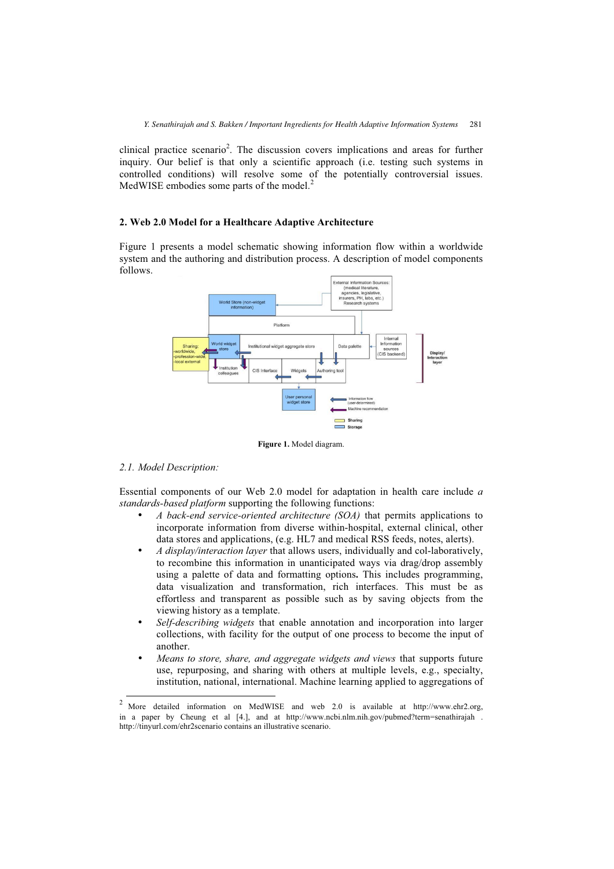clinical practice scenario<sup>2</sup>. The discussion covers implications and areas for further inquiry. Our belief is that only a scientific approach (i.e. testing such systems in controlled conditions) will resolve some of the potentially controversial issues. MedWISE embodies some parts of the model. $2$ 

## **2. Web 2.0 Model for a Healthcare Adaptive Architecture**

Figure 1 presents a model schematic showing information flow within a worldwide system and the authoring and distribution process. A description of model components follows.



**Figure 1.** Model diagram.

*2.1. Model Description:* 

Essential components of our Web 2.0 model for adaptation in health care include *a standards-based platform* supporting the following functions:

- *A back-end service-oriented architecture (SOA)* that permits applications to incorporate information from diverse within-hospital, external clinical, other data stores and applications, (e.g. HL7 and medical RSS feeds, notes, alerts).
- *A display/interaction layer* that allows users, individually and col-laboratively, to recombine this information in unanticipated ways via drag/drop assembly using a palette of data and formatting options**.** This includes programming, data visualization and transformation, rich interfaces. This must be as effortless and transparent as possible such as by saving objects from the viewing history as a template.
- *Self-describing widgets* that enable annotation and incorporation into larger collections, with facility for the output of one process to become the input of another.
- *Means to store, share, and aggregate widgets and views* that supports future use, repurposing, and sharing with others at multiple levels, e.g., specialty, institution, national, international. Machine learning applied to aggregations of

 <sup>2</sup> More detailed information on MedWISE and web 2.0 is available at http://www.ehr2.org, in a paper by Cheung et al [4.], and at http://www.ncbi.nlm.nih.gov/pubmed?term=senathirajah . http://tinyurl.com/ehr2scenario contains an illustrative scenario.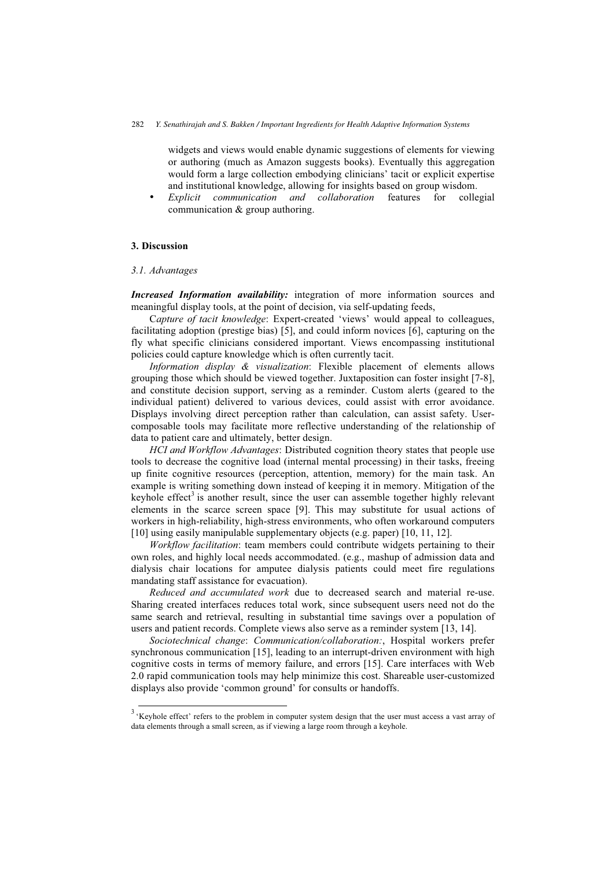widgets and views would enable dynamic suggestions of elements for viewing or authoring (much as Amazon suggests books). Eventually this aggregation would form a large collection embodying clinicians' tacit or explicit expertise and institutional knowledge, allowing for insights based on group wisdom.

• *Explicit communication and collaboration* features for collegial communication & group authoring.

### **3. Discussion**

#### *3.1. Advantages*

*Increased Information availability:* integration of more information sources and meaningful display tools, at the point of decision, via self-updating feeds,

C*apture of tacit knowledge*: Expert-created 'views' would appeal to colleagues, facilitating adoption (prestige bias) [5], and could inform novices [6], capturing on the fly what specific clinicians considered important. Views encompassing institutional policies could capture knowledge which is often currently tacit.

*Information display & visualization*: Flexible placement of elements allows grouping those which should be viewed together. Juxtaposition can foster insight [7-8], and constitute decision support, serving as a reminder. Custom alerts (geared to the individual patient) delivered to various devices, could assist with error avoidance. Displays involving direct perception rather than calculation, can assist safety. Usercomposable tools may facilitate more reflective understanding of the relationship of data to patient care and ultimately, better design.

*HCI and Workflow Advantages*: Distributed cognition theory states that people use tools to decrease the cognitive load (internal mental processing) in their tasks, freeing up finite cognitive resources (perception, attention, memory) for the main task. An example is writing something down instead of keeping it in memory. Mitigation of the keyhole effect<sup>3</sup> is another result, since the user can assemble together highly relevant elements in the scarce screen space [9]. This may substitute for usual actions of workers in high-reliability, high-stress environments, who often workaround computers [10] using easily manipulable supplementary objects (e.g. paper) [10, 11, 12].

*Workflow facilitation*: team members could contribute widgets pertaining to their own roles, and highly local needs accommodated. (e.g., mashup of admission data and dialysis chair locations for amputee dialysis patients could meet fire regulations mandating staff assistance for evacuation).

*Reduced and accumulated work* due to decreased search and material re-use. Sharing created interfaces reduces total work, since subsequent users need not do the same search and retrieval, resulting in substantial time savings over a population of users and patient records. Complete views also serve as a reminder system [13, 14].

*Sociotechnical change*: *Communication/collaboration:*, Hospital workers prefer synchronous communication [15], leading to an interrupt-driven environment with high cognitive costs in terms of memory failure, and errors [15]. Care interfaces with Web 2.0 rapid communication tools may help minimize this cost. Shareable user-customized displays also provide 'common ground' for consults or handoffs.

<sup>&</sup>lt;sup>3</sup> 'Keyhole effect' refers to the problem in computer system design that the user must access a vast array of data elements through a small screen, as if viewing a large room through a keyhole.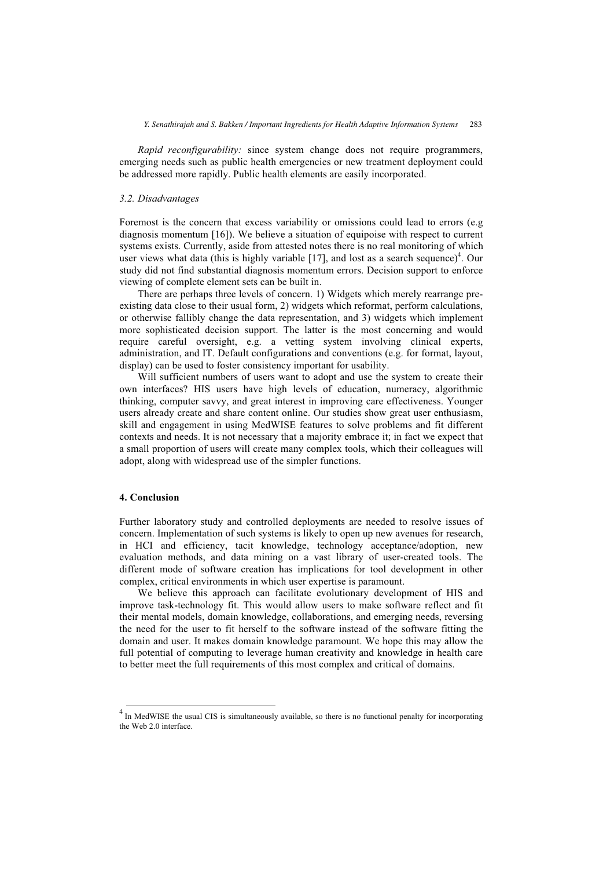*Rapid reconfigurability:* since system change does not require programmers, emerging needs such as public health emergencies or new treatment deployment could be addressed more rapidly. Public health elements are easily incorporated.

#### *3.2. Disadvantages*

Foremost is the concern that excess variability or omissions could lead to errors (e.g diagnosis momentum [16]). We believe a situation of equipoise with respect to current systems exists. Currently, aside from attested notes there is no real monitoring of which user views what data (this is highly variable [17], and lost as a search sequence)<sup>4</sup>. Our study did not find substantial diagnosis momentum errors. Decision support to enforce viewing of complete element sets can be built in.

There are perhaps three levels of concern. 1) Widgets which merely rearrange preexisting data close to their usual form, 2) widgets which reformat, perform calculations, or otherwise fallibly change the data representation, and 3) widgets which implement more sophisticated decision support. The latter is the most concerning and would require careful oversight, e.g. a vetting system involving clinical experts, administration, and IT. Default configurations and conventions (e.g. for format, layout, display) can be used to foster consistency important for usability.

Will sufficient numbers of users want to adopt and use the system to create their own interfaces? HIS users have high levels of education, numeracy, algorithmic thinking, computer savvy, and great interest in improving care effectiveness. Younger users already create and share content online. Our studies show great user enthusiasm, skill and engagement in using MedWISE features to solve problems and fit different contexts and needs. It is not necessary that a majority embrace it; in fact we expect that a small proportion of users will create many complex tools, which their colleagues will adopt, along with widespread use of the simpler functions.

### **4. Conclusion**

Further laboratory study and controlled deployments are needed to resolve issues of concern. Implementation of such systems is likely to open up new avenues for research, in HCI and efficiency, tacit knowledge, technology acceptance/adoption, new evaluation methods, and data mining on a vast library of user-created tools. The different mode of software creation has implications for tool development in other complex, critical environments in which user expertise is paramount.

We believe this approach can facilitate evolutionary development of HIS and improve task-technology fit. This would allow users to make software reflect and fit their mental models, domain knowledge, collaborations, and emerging needs, reversing the need for the user to fit herself to the software instead of the software fitting the domain and user. It makes domain knowledge paramount. We hope this may allow the full potential of computing to leverage human creativity and knowledge in health care to better meet the full requirements of this most complex and critical of domains.

<sup>&</sup>lt;sup>4</sup> In MedWISE the usual CIS is simultaneously available, so there is no functional penalty for incorporating the Web 2.0 interface.